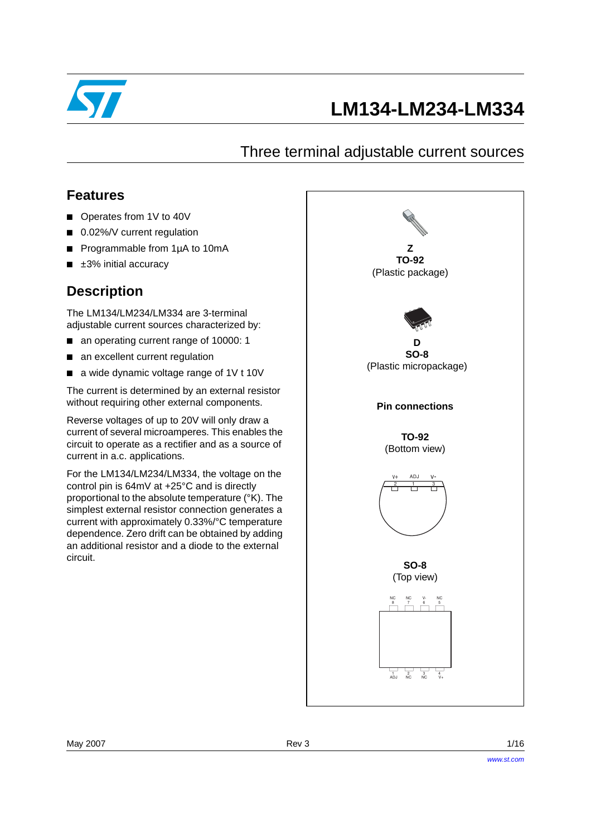

# **LM134-LM234-LM334**

## Three terminal adjustable current sources

## **Features**

- Operates from 1V to 40V
- 0.02%/V current regulation
- Programmable from 1µA to 10mA
- $\blacksquare$   $\pm 3\%$  initial accuracy

## **Description**

The LM134/LM234/LM334 are 3-terminal adjustable current sources characterized by:

- an operating current range of 10000: 1
- an excellent current regulation
- a wide dynamic voltage range of 1V t 10V

The current is determined by an external resistor without requiring other external components.

Reverse voltages of up to 20V will only draw a current of several microamperes. This enables the circuit to operate as a rectifier and as a source of current in a.c. applications.

For the LM134/LM234/LM334, the voltage on the control pin is 64mV at +25°C and is directly proportional to the absolute temperature (°K). The simplest external resistor connection generates a current with approximately 0.33%/°C temperature dependence. Zero drift can be obtained by adding an additional resistor and a diode to the external circuit.

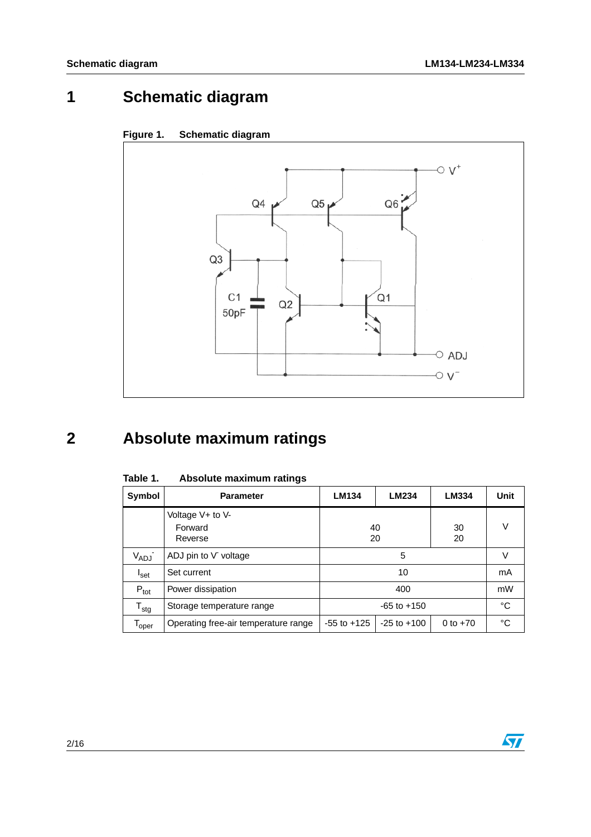# **1 Schematic diagram**





# **2 Absolute maximum ratings**

| Symbol                       | <b>Parameter</b>                       | LM134                                            | LM234 | LM334    | Unit |
|------------------------------|----------------------------------------|--------------------------------------------------|-------|----------|------|
|                              | Voltage V+ to V-<br>Forward<br>Reverse | 40<br>20                                         |       | 30<br>20 | V    |
| V <sub>ADJ</sub> -           | ADJ pin to V voltage                   | 5                                                |       |          | v    |
| <sup>I</sup> set             | Set current                            | 10                                               |       |          | mA   |
| $P_{\text{tot}}$             | Power dissipation                      | 400                                              |       |          | mW   |
| $T_{\text{stg}}$             | Storage temperature range              | $-65$ to $+150$                                  |       |          | °C   |
| $\mathsf{T}_{\mathsf{oper}}$ | Operating free-air temperature range   | $-55$ to $+125$<br>$-25$ to $+100$<br>0 to $+70$ |       |          | °C   |

Table 1. **Absolute maximum ratings** 

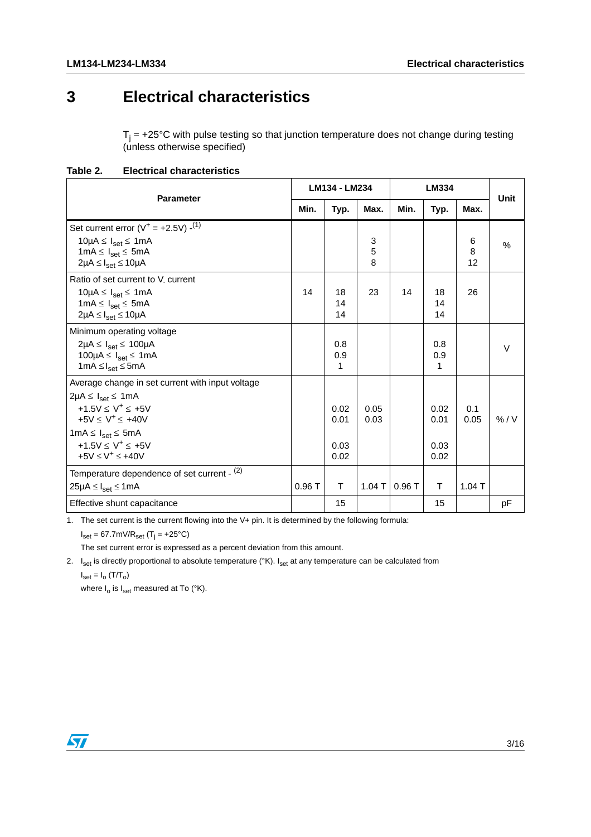## **3 Electrical characteristics**

 $T_j$  = +25°C with pulse testing so that junction temperature does not change during testing (unless otherwise specified)

**Table 2. Electrical characteristics**

| <b>Parameter</b>                                                                                                                                                                                                                                    |       | LM134 - LM234                |              |       | LM334                        |              |             |
|-----------------------------------------------------------------------------------------------------------------------------------------------------------------------------------------------------------------------------------------------------|-------|------------------------------|--------------|-------|------------------------------|--------------|-------------|
|                                                                                                                                                                                                                                                     | Min.  | Typ.                         | Max.         | Min.  | Typ.                         | Max.         | <b>Unit</b> |
| Set current error $(V^+ = +2.5V)$ - <sup>(1)</sup><br>$10\mu A \leq I_{\text{set}} \leq 1 \text{mA}$<br>$1mA \leq l_{\text{set}} \leq 5mA$<br>$2\mu A \leq I_{\text{set}} \leq 10\mu A$                                                             |       |                              | 3<br>5<br>8  |       |                              | 6<br>8<br>12 | %           |
| Ratio of set current to V current<br>$10\mu A \leq I_{\text{set}} \leq 1 \text{mA}$<br>$1mA \leq I_{set} \leq 5mA$<br>$2\mu A \leq I_{set} \leq 10\mu A$                                                                                            | 14    | 18<br>14<br>14               | 23           | 14    | 18<br>14<br>14               | 26           |             |
| Minimum operating voltage<br>$2\mu A \leq I_{\text{set}} \leq 100\mu A$<br>$100\mu A \leq I_{\text{set}} \leq 1 \text{mA}$<br>$1mA \leq I_{\text{set}} \leq 5mA$                                                                                    |       | 0.8<br>0.9<br>1              |              |       | 0.8<br>0.9<br>1              |              | $\vee$      |
| Average change in set current with input voltage<br>$2\mu A \leq I_{\text{set}} \leq 1 \text{mA}$<br>$+1.5V < V^+ < +5V$<br>$+5V < V^+ < +40V$<br>$1mA \leq l_{set} \leq 5mA$<br>+1.5V $\leq$ V <sup>+</sup> $\leq$ +5V<br>$+5V \leq V^+ \leq +40V$ |       | 0.02<br>0.01<br>0.03<br>0.02 | 0.05<br>0.03 |       | 0.02<br>0.01<br>0.03<br>0.02 | 0.1<br>0.05  | % / V       |
| Temperature dependence of set current - $(2)$<br>$25\mu A \leq I_{\text{set}} \leq 1 \text{mA}$                                                                                                                                                     | 0.96T | T                            | $1.04$ T     | 0.96T | T                            | $1.04$ T     |             |
| Effective shunt capacitance                                                                                                                                                                                                                         |       | 15                           |              |       | 15                           |              | рF          |

1. The set current is the current flowing into the V+ pin. It is determined by the following formula:

 $I_{\text{set}}$  = 67.7mV/R<sub>set</sub> (T<sub>j</sub> = +25°C)

The set current error is expressed as a percent deviation from this amount.

2.  $I_{\text{set}}$  is directly proportional to absolute temperature (°K).  $I_{\text{set}}$  at any temperature can be calculated from

 $I_{\text{set}} = I_{\text{o}} (T/T_{\text{o}})$ where  $I_0$  is  $I_{\text{set}}$  measured at To (°K).

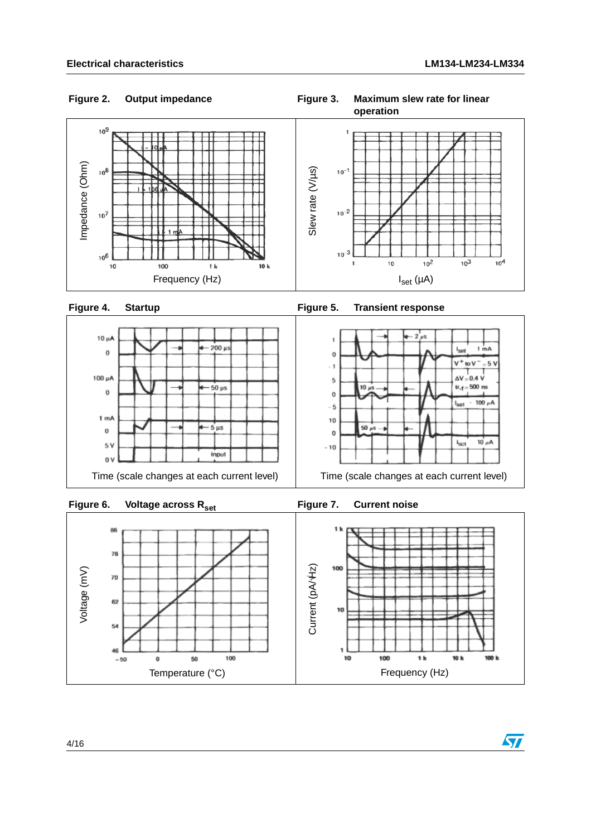#### **Output impedance** Figure 2. Output impedance **Figure 3. Maximum slew rate for linear**







<span id="page-3-0"></span>

<span id="page-3-1"></span>

### **Figure 6. Voltage across Rset Figure 7. Current noise**

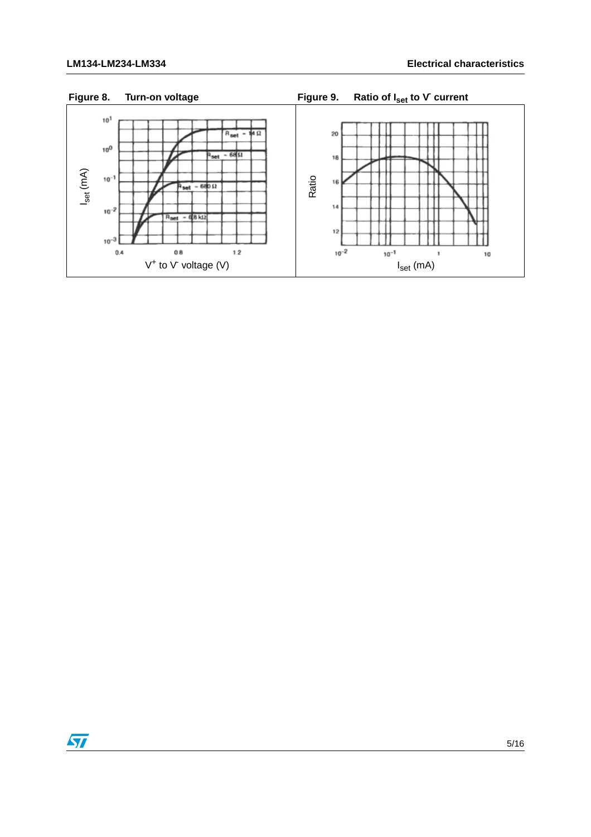

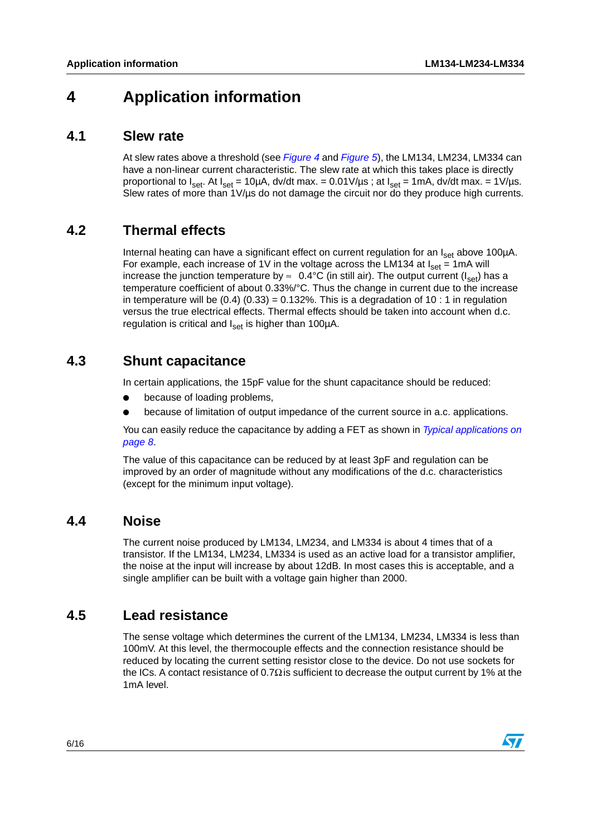## **4 Application information**

#### **4.1 Slew rate**

At slew rates above a threshold (see *[Figure 4](#page-3-0)* and *[Figure 5](#page-3-1)*), the LM134, LM234, LM334 can have a non-linear current characteristic. The slew rate at which this takes place is directly proportional to  $I_{\text{set}}$ . At  $I_{\text{set}} = 10 \mu A$ , dv/dt max. = 0.01V/ $\mu s$ ; at  $I_{\text{set}} = 1 \mu A$ , dv/dt max. = 1V/ $\mu s$ . Slew rates of more than 1V/us do not damage the circuit nor do they produce high currents.

## **4.2 Thermal effects**

Internal heating can have a significant effect on current regulation for an  $I_{\text{set}}$  above 100 $\mu$ A. For example, each increase of 1V in the voltage across the LM134 at  $I_{\text{set}} = 1 \text{mA}$  will increase the junction temperature by  $\approx 0.4$ °C (in still air). The output current (I<sub>set</sub>) has a temperature coefficient of about 0.33%/°C. Thus the change in current due to the increase in temperature will be  $(0.4)$   $(0.33) = 0.132\%$ . This is a degradation of 10 : 1 in regulation versus the true electrical effects. Thermal effects should be taken into account when d.c. regulation is critical and  $I_{\text{set}}$  is higher than 100 $\mu$ A.

### **4.3 Shunt capacitance**

In certain applications, the 15pF value for the shunt capacitance should be reduced:

- because of loading problems,
- because of limitation of output impedance of the current source in a.c. applications.

You can easily reduce the capacitance by adding a FET as shown in *[Typical applications on](#page-7-0)  [page 8](#page-7-0)*.

The value of this capacitance can be reduced by at least 3pF and regulation can be improved by an order of magnitude without any modifications of the d.c. characteristics (except for the minimum input voltage).

#### **4.4 Noise**

The current noise produced by LM134, LM234, and LM334 is about 4 times that of a transistor. If the LM134, LM234, LM334 is used as an active load for a transistor amplifier, the noise at the input will increase by about 12dB. In most cases this is acceptable, and a single amplifier can be built with a voltage gain higher than 2000.

## **4.5 Lead resistance**

The sense voltage which determines the current of the LM134, LM234, LM334 is less than 100mV. At this level, the thermocouple effects and the connection resistance should be reduced by locating the current setting resistor close to the device. Do not use sockets for the ICs. A contact resistance of 0.7 $\Omega$  is sufficient to decrease the output current by 1% at the 1mA level.

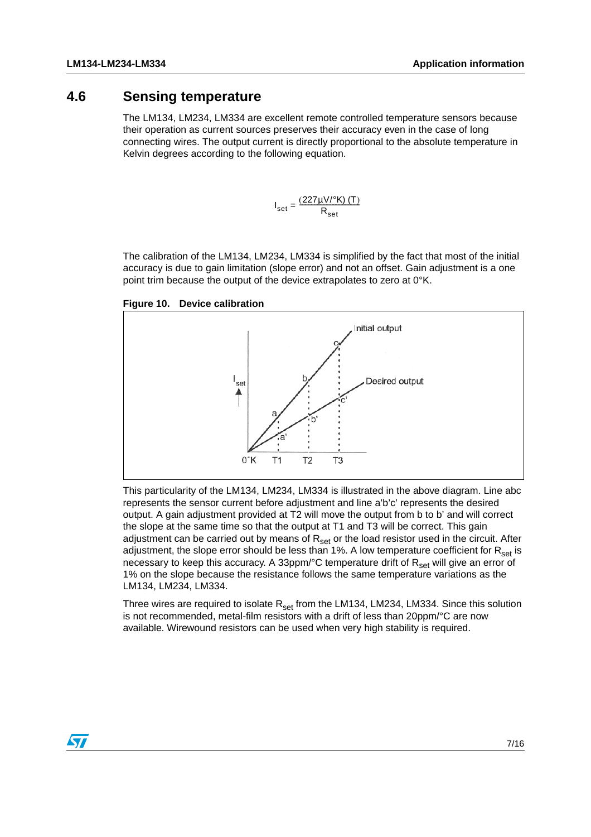### **4.6 Sensing temperature**

The LM134, LM234, LM334 are excellent remote controlled temperature sensors because their operation as current sources preserves their accuracy even in the case of long connecting wires. The output current is directly proportional to the absolute temperature in Kelvin degrees according to the following equation.

$$
I_{\text{set}} = \frac{(227\mu\text{V} / \text{°K}) (T)}{R_{\text{set}}}
$$

The calibration of the LM134, LM234, LM334 is simplified by the fact that most of the initial accuracy is due to gain limitation (slope error) and not an offset. Gain adjustment is a one point trim because the output of the device extrapolates to zero at 0°K.





This particularity of the LM134, LM234, LM334 is illustrated in the above diagram. Line abc represents the sensor current before adjustment and line a'b'c' represents the desired output. A gain adjustment provided at T2 will move the output from b to b' and will correct the slope at the same time so that the output at T1 and T3 will be correct. This gain adjustment can be carried out by means of  $R_{set}$  or the load resistor used in the circuit. After adjustment, the slope error should be less than 1%. A low temperature coefficient for  $R_{\text{set}}$  is necessary to keep this accuracy. A 33ppm/ $\degree$ C temperature drift of R<sub>set</sub> will give an error of 1% on the slope because the resistance follows the same temperature variations as the LM134, LM234, LM334.

Three wires are required to isolate  $R_{set}$  from the LM134, LM234, LM334. Since this solution is not recommended, metal-film resistors with a drift of less than 20ppm/°C are now available. Wirewound resistors can be used when very high stability is required.

 $\sqrt{}$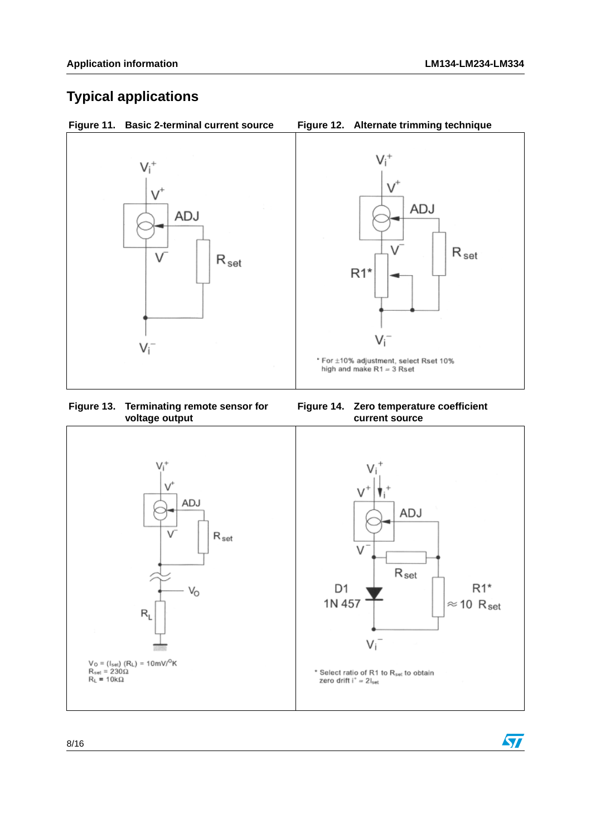$\sqrt{2}$ 

## <span id="page-7-0"></span>**Typical applications**





#### **Figure 13. Terminating remote sensor for voltage output**



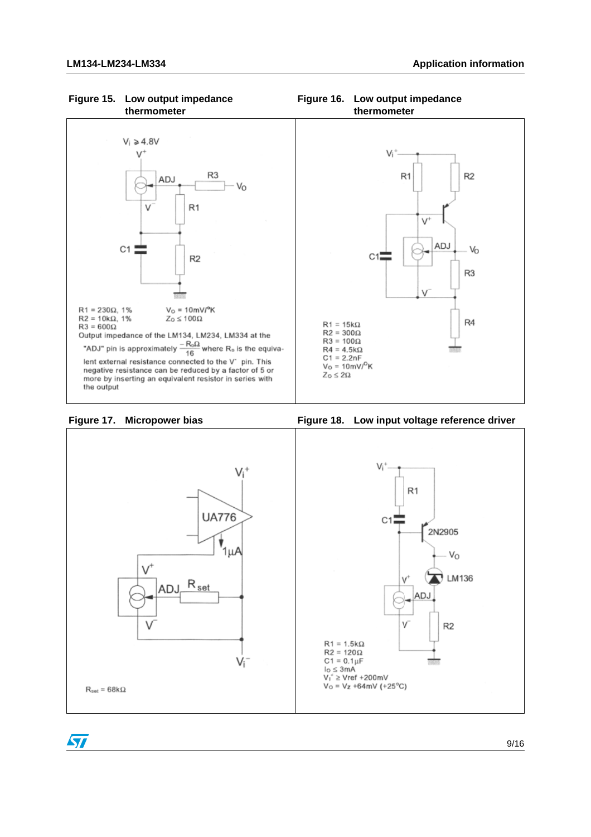

#### **Figure 15. Low output impedance thermometer**



 $\sqrt{2}$ 



**Figure 16. Low output impedance thermometer**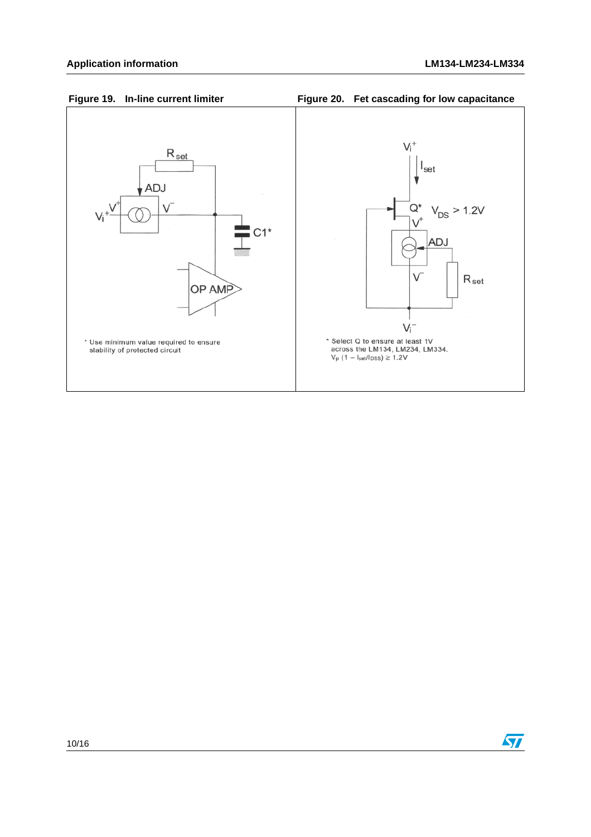





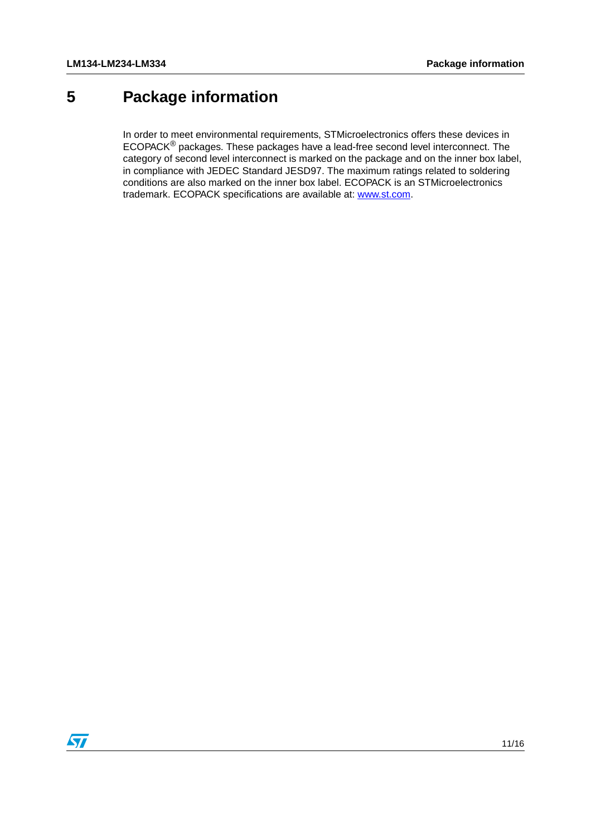## <span id="page-10-0"></span>**5 Package information**

In order to meet environmental requirements, STMicroelectronics offers these devices in ECOPACK® packages. These packages have a lead-free second level interconnect. The category of second level interconnect is marked on the package and on the inner box label, in compliance with JEDEC Standard JESD97. The maximum ratings related to soldering conditions are also marked on the inner box label. ECOPACK is an STMicroelectronics trademark. ECOPACK specifications are available at: www.st.com.

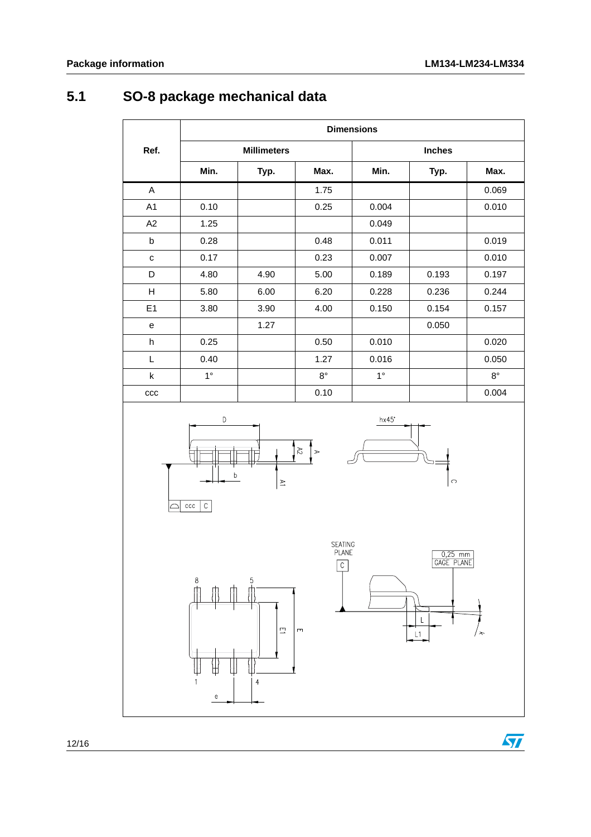## **5.1 SO-8 package mechanical data**

|                | <b>Dimensions</b> |                    |             |             |               |             |  |  |
|----------------|-------------------|--------------------|-------------|-------------|---------------|-------------|--|--|
| Ref.           |                   | <b>Millimeters</b> |             |             | <b>Inches</b> |             |  |  |
|                | Min.              | Typ.               | Max.        | Min.        | Typ.          | Max.        |  |  |
| A              |                   |                    | 1.75        |             |               | 0.069       |  |  |
| A <sub>1</sub> | 0.10              |                    | 0.25        | 0.004       |               | 0.010       |  |  |
| A2             | 1.25              |                    |             | 0.049       |               |             |  |  |
| b              | 0.28              |                    | 0.48        | 0.011       |               | 0.019       |  |  |
| C              | 0.17              |                    | 0.23        | 0.007       |               | 0.010       |  |  |
| D              | 4.80              | 4.90               | 5.00        | 0.189       | 0.193         | 0.197       |  |  |
| н              | 5.80              | 6.00               | 6.20        | 0.228       | 0.236         | 0.244       |  |  |
| E1             | 3.80              | 3.90               | 4.00        | 0.150       | 0.154         | 0.157       |  |  |
| e              |                   | 1.27               |             |             | 0.050         |             |  |  |
| h              | 0.25              |                    | 0.50        | 0.010       |               | 0.020       |  |  |
| L              | 0.40              |                    | 1.27        | 0.016       |               | 0.050       |  |  |
| k              | $1^{\circ}$       |                    | $8^{\circ}$ | $1^{\circ}$ |               | $8^{\circ}$ |  |  |
| ccc            |                   |                    | 0.10        |             |               | 0.004       |  |  |







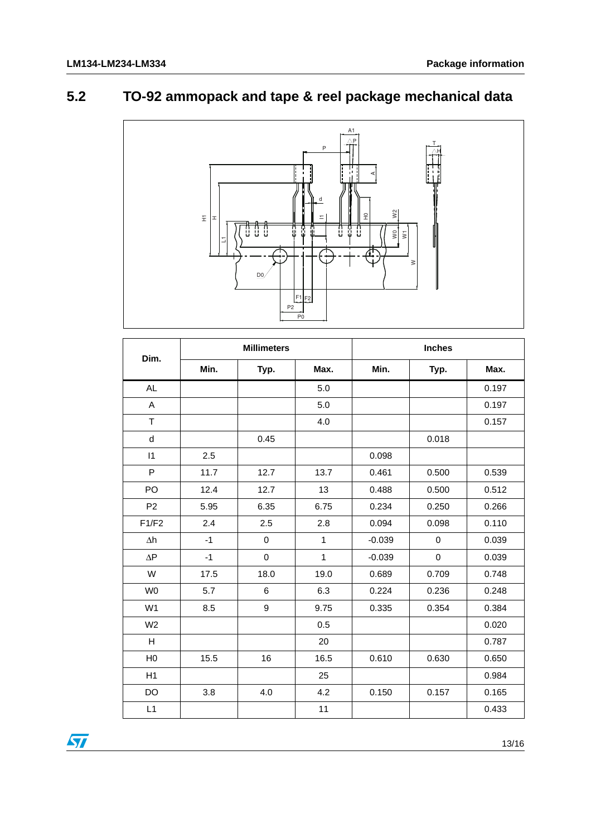## **5.2 TO-92 ammopack and tape & reel package mechanical data**



| Dim.                | <b>Millimeters</b> |                  |                | <b>Inches</b> |                  |       |  |
|---------------------|--------------------|------------------|----------------|---------------|------------------|-------|--|
|                     | Min.               | Typ.             | Max.           | Min.          | Typ.             | Max.  |  |
| <b>AL</b>           |                    |                  | 5.0            |               |                  | 0.197 |  |
| A                   |                    |                  | 5.0            |               |                  | 0.197 |  |
| T                   |                    |                  | 4.0            |               |                  | 0.157 |  |
| ${\sf d}$           |                    | 0.45             |                |               | 0.018            |       |  |
| $\vert$ 1           | 2.5                |                  |                | 0.098         |                  |       |  |
| P                   | 11.7               | 12.7             | 13.7           | 0.461         | 0.500            | 0.539 |  |
| PO                  | 12.4               | 12.7             | 13             | 0.488         | 0.500            | 0.512 |  |
| P <sub>2</sub>      | 5.95               | 6.35             | 6.75           | 0.234         | 0.250            | 0.266 |  |
| F1/F2               | 2.4                | 2.5              | 2.8            | 0.094         | 0.098            | 0.110 |  |
| $\Delta h$          | $-1$               | $\pmb{0}$        | $\overline{1}$ | $-0.039$      | $\boldsymbol{0}$ | 0.039 |  |
| $\Delta \mathsf{P}$ | $-1$               | 0                | 1              | $-0.039$      | $\pmb{0}$        | 0.039 |  |
| W                   | 17.5               | 18.0             | 19.0           | 0.689         | 0.709            | 0.748 |  |
| W <sub>0</sub>      | 5.7                | 6                | 6.3            | 0.224         | 0.236            | 0.248 |  |
| W <sub>1</sub>      | 8.5                | $\boldsymbol{9}$ | 9.75           | 0.335         | 0.354            | 0.384 |  |
| W <sub>2</sub>      |                    |                  | 0.5            |               |                  | 0.020 |  |
| H                   |                    |                  | 20             |               |                  | 0.787 |  |
| H <sub>0</sub>      | 15.5               | 16               | 16.5           | 0.610         | 0.630            | 0.650 |  |
| H1                  |                    |                  | 25             |               |                  | 0.984 |  |
| DO                  | 3.8                | 4.0              | 4.2            | 0.150         | 0.157            | 0.165 |  |
| L1                  |                    |                  | 11             |               |                  | 0.433 |  |

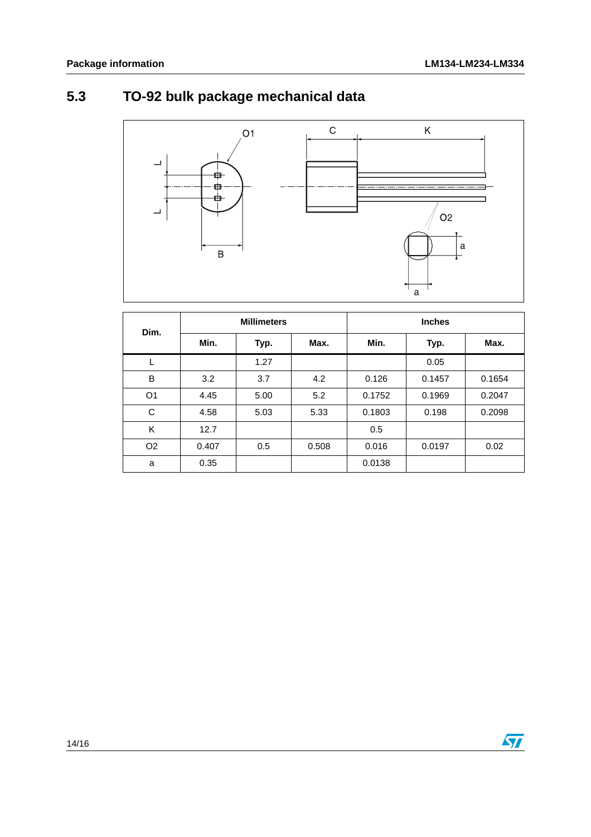# **5.3 TO-92 bulk package mechanical data**



| Dim.           | <b>Millimeters</b> |      |       | <b>Inches</b> |        |        |
|----------------|--------------------|------|-------|---------------|--------|--------|
|                | Min.               | Typ. | Max.  | Min.          | Typ.   | Max.   |
|                |                    | 1.27 |       |               | 0.05   |        |
| B              | 3.2                | 3.7  | 4.2   | 0.126         | 0.1457 | 0.1654 |
| O <sub>1</sub> | 4.45               | 5.00 | 5.2   | 0.1752        | 0.1969 | 0.2047 |
| C              | 4.58               | 5.03 | 5.33  | 0.1803        | 0.198  | 0.2098 |
| K              | 12.7               |      |       | 0.5           |        |        |
| O <sub>2</sub> | 0.407              | 0.5  | 0.508 | 0.016         | 0.0197 | 0.02   |
| a              | 0.35               |      |       | 0.0138        |        |        |

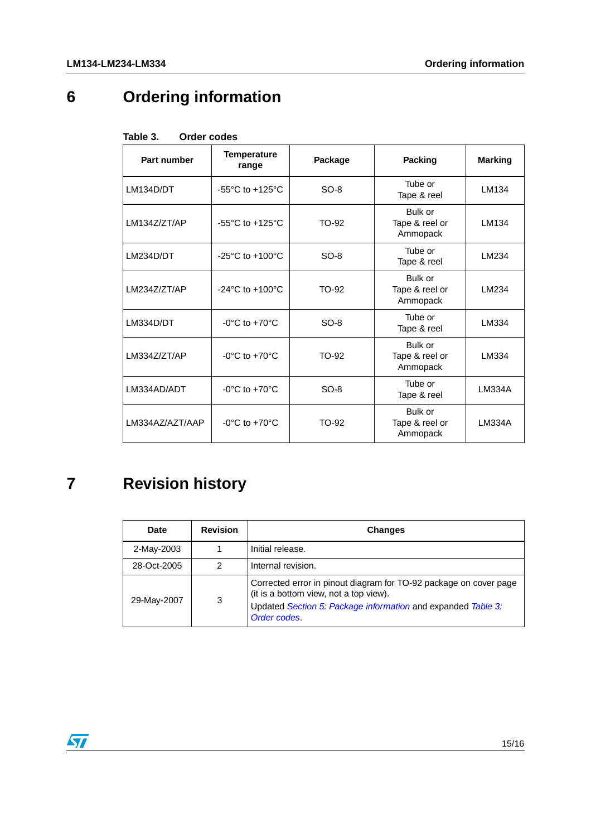# **6 Ordering information**

| rapie s.<br>Orger coges                                    |                                        |                                                |                                       |                |  |  |
|------------------------------------------------------------|----------------------------------------|------------------------------------------------|---------------------------------------|----------------|--|--|
| Part number                                                | <b>Temperature</b><br>Package<br>range |                                                | <b>Packing</b>                        | <b>Marking</b> |  |  |
| $SO-8$<br>LM134D/DT<br>$-55^{\circ}$ C to $+125^{\circ}$ C |                                        |                                                | Tube or<br>Tape & reel                | LM134          |  |  |
| LM134Z/ZT/AP                                               | $-55^{\circ}$ C to $+125^{\circ}$ C    | TO-92                                          | Bulk or<br>Tape & reel or<br>Ammopack | LM134          |  |  |
| LM234D/DT                                                  | $-25^{\circ}$ C to $+100^{\circ}$ C    | $SO-8$                                         | Tube or<br>Tape & reel                | LM234          |  |  |
| LM234Z/ZT/AP                                               | $-24^{\circ}$ C to $+100^{\circ}$ C    | Bulk or<br>Tape & reel or<br>TO-92<br>Ammopack |                                       | LM234          |  |  |
| LM334D/DT<br>$-0$ °C to $+70$ °C<br>$SO-8$                 |                                        | Tube or<br>Tape & reel                         | LM334                                 |                |  |  |
| LM334Z/ZT/AP                                               | $-0$ °C to $+70$ °C                    | TO-92                                          | Bulk or<br>Tape & reel or<br>Ammopack | LM334          |  |  |
| LM334AD/ADT                                                | $-0^{\circ}$ C to $+70^{\circ}$ C      | $SO-8$                                         | Tube or<br>Tape & reel                | <b>LM334A</b>  |  |  |
| $-0$ °C to $+70$ °C<br>LM334AZ/AZT/AAP                     |                                        | TO-92                                          | Bulk or<br>Tape & reel or<br>Ammopack | LM334A         |  |  |

#### <span id="page-14-0"></span>Table 3 **Table 3. Order codes**

# **7 Revision history**

| Date        | <b>Revision</b> | <b>Changes</b>                                                                                                                                                                              |
|-------------|-----------------|---------------------------------------------------------------------------------------------------------------------------------------------------------------------------------------------|
| 2-May-2003  |                 | Initial release.                                                                                                                                                                            |
| 28-Oct-2005 | 2               | Internal revision.                                                                                                                                                                          |
| 29-May-2007 | 3               | Corrected error in pinout diagram for TO-92 package on cover page<br>(it is a bottom view, not a top view).<br>Updated Section 5: Package information and expanded Table 3:<br>Order codes. |